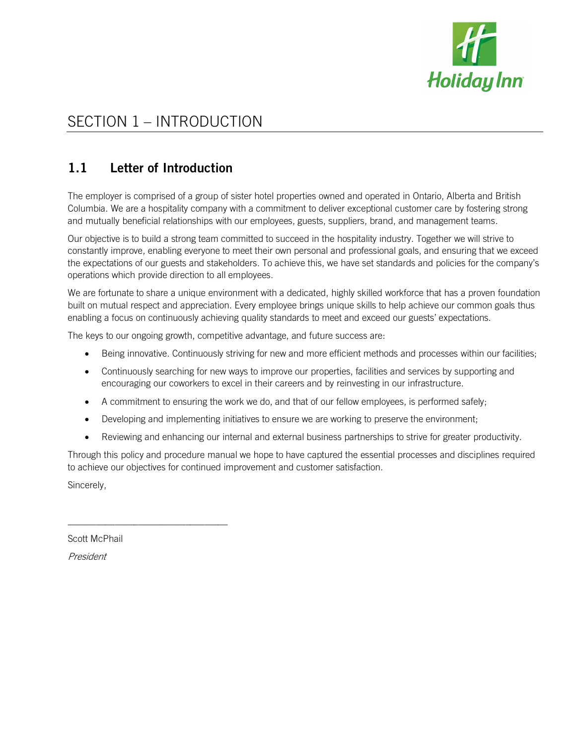

# SECTION 1 – INTRODUCTION

## 1.1 Letter of Introduction

The employer is comprised of a group of sister hotel properties owned and operated in Ontario, Alberta and British Columbia. We are a hospitality company with a commitment to deliver exceptional customer care by fostering strong and mutually beneficial relationships with our employees, guests, suppliers, brand, and management teams.

Our objective is to build a strong team committed to succeed in the hospitality industry. Together we will strive to constantly improve, enabling everyone to meet their own personal and professional goals, and ensuring that we exceed the expectations of our guests and stakeholders. To achieve this, we have set standards and policies for the company's operations which provide direction to all employees.

We are fortunate to share a unique environment with a dedicated, highly skilled workforce that has a proven foundation built on mutual respect and appreciation. Every employee brings unique skills to help achieve our common goals thus enabling a focus on continuously achieving quality standards to meet and exceed our guests' expectations.

The keys to our ongoing growth, competitive advantage, and future success are:

- Being innovative. Continuously striving for new and more efficient methods and processes within our facilities;
- Continuously searching for new ways to improve our properties, facilities and services by supporting and encouraging our coworkers to excel in their careers and by reinvesting in our infrastructure.
- A commitment to ensuring the work we do, and that of our fellow employees, is performed safely;
- Developing and implementing initiatives to ensure we are working to preserve the environment;
- Reviewing and enhancing our internal and external business partnerships to strive for greater productivity.

Through this policy and procedure manual we hope to have captured the essential processes and disciplines required to achieve our objectives for continued improvement and customer satisfaction.

Sincerely,

Scott McPhail

\_\_\_\_\_\_\_\_\_\_\_\_\_\_\_\_\_\_\_\_\_\_\_\_\_\_\_\_\_\_\_\_\_\_

President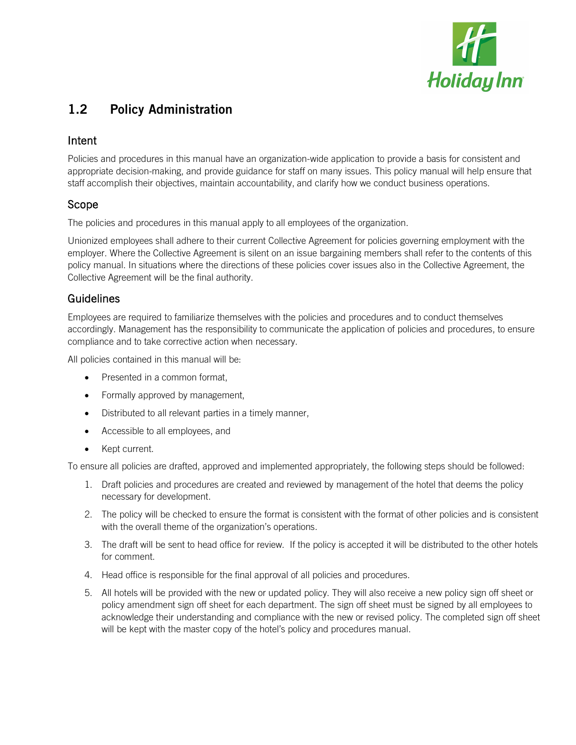

## 1.2 Policy Administration

#### Intent

Policies and procedures in this manual have an organization-wide application to provide a basis for consistent and appropriate decision-making, and provide guidance for staff on many issues. This policy manual will help ensure that staff accomplish their objectives, maintain accountability, and clarify how we conduct business operations.

#### Scope

The policies and procedures in this manual apply to all employees of the organization.

Unionized employees shall adhere to their current Collective Agreement for policies governing employment with the employer. Where the Collective Agreement is silent on an issue bargaining members shall refer to the contents of this policy manual. In situations where the directions of these policies cover issues also in the Collective Agreement, the Collective Agreement will be the final authority.

### Guidelines

Employees are required to familiarize themselves with the policies and procedures and to conduct themselves accordingly. Management has the responsibility to communicate the application of policies and procedures, to ensure compliance and to take corrective action when necessary.

All policies contained in this manual will be:

- Presented in a common format,
- Formally approved by management,
- Distributed to all relevant parties in a timely manner,
- Accessible to all employees, and
- Kept current.

To ensure all policies are drafted, approved and implemented appropriately, the following steps should be followed:

- 1. Draft policies and procedures are created and reviewed by management of the hotel that deems the policy necessary for development.
- 2. The policy will be checked to ensure the format is consistent with the format of other policies and is consistent with the overall theme of the organization's operations.
- 3. The draft will be sent to head office for review. If the policy is accepted it will be distributed to the other hotels for comment.
- 4. Head office is responsible for the final approval of all policies and procedures.
- 5. All hotels will be provided with the new or updated policy. They will also receive a new policy sign off sheet or policy amendment sign off sheet for each department. The sign off sheet must be signed by all employees to acknowledge their understanding and compliance with the new or revised policy. The completed sign off sheet will be kept with the master copy of the hotel's policy and procedures manual.